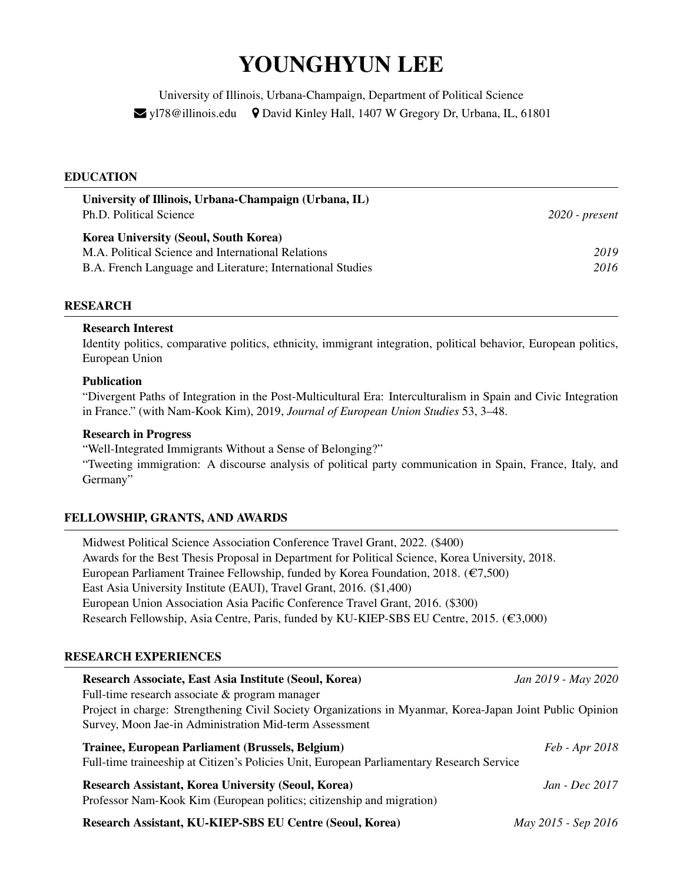# YOUNGHYUN LEE

University of Illinois, Urbana-Champaign, Department of Political Science  $\blacktriangleright$  yl78@illinois.edu  $\blacklozenge$  David Kinley Hall, 1407 W Gregory Dr, Urbana, IL, 61801

## EDUCATION

| University of Illinois, Urbana-Champaign (Urbana, IL)<br>Ph.D. Political Science | $2020$ - present |
|----------------------------------------------------------------------------------|------------------|
| <b>Korea University (Seoul, South Korea)</b>                                     |                  |
| M.A. Political Science and International Relations                               | 2019             |
| B.A. French Language and Literature; International Studies                       | 2016             |

## RESEARCH

## Research Interest

Identity politics, comparative politics, ethnicity, immigrant integration, political behavior, European politics, European Union

## Publication

"Divergent Paths of Integration in the Post-Multicultural Era: Interculturalism in Spain and Civic Integration in France." (with Nam-Kook Kim), 2019, *Journal of European Union Studies* 53, 3–48.

## Research in Progress

"Well-Integrated Immigrants Without a Sense of Belonging?"

"Tweeting immigration: A discourse analysis of political party communication in Spain, France, Italy, and Germany"

## FELLOWSHIP, GRANTS, AND AWARDS

Midwest Political Science Association Conference Travel Grant, 2022. (\$400) Awards for the Best Thesis Proposal in Department for Political Science, Korea University, 2018. European Parliament Trainee Fellowship, funded by Korea Foundation, 2018. ( $\epsilon$ 7,500) East Asia University Institute (EAUI), Travel Grant, 2016. (\$1,400) European Union Association Asia Pacific Conference Travel Grant, 2016. (\$300) Research Fellowship, Asia Centre, Paris, funded by KU-KIEP-SBS EU Centre, 2015. ( $\epsilon$ 3,000)

## RESEARCH EXPERIENCES

| Research Associate, East Asia Institute (Seoul, Korea)                                                                                        | Jan 2019 - May 2020   |
|-----------------------------------------------------------------------------------------------------------------------------------------------|-----------------------|
| Full-time research associate & program manager                                                                                                |                       |
| Project in charge: Strengthening Civil Society Organizations in Myanmar, Korea-Japan Joint Public Opinion                                     |                       |
| Survey, Moon Jae-in Administration Mid-term Assessment                                                                                        |                       |
| Trainee, European Parliament (Brussels, Belgium)<br>Full-time traineeship at Citizen's Policies Unit, European Parliamentary Research Service | <i>Feb - Apr 2018</i> |
| <b>Research Assistant, Korea University (Seoul, Korea)</b><br>Professor Nam-Kook Kim (European politics; citizenship and migration)           | $Jan - Dec$ 2017      |
| Research Assistant, KU-KIEP-SBS EU Centre (Seoul, Korea)                                                                                      | May 2015 - Sep 2016   |